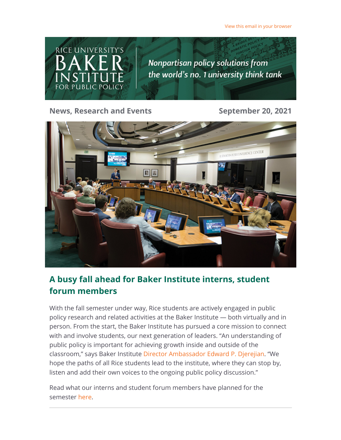[View this email in your browser](https://riceconnect.rice.edu/emailviewonwebpage.aspx?erid=55422d30-dd2d-4eee-88d0-66f956b7265a&trid=55422d30-dd2d-4eee-88d0-66f956b7265a)



**News, Research and Events September 20, 2021**



# **A busy fall ahead for Baker Institute interns, student forum members**

With the fall semester under way, Rice students are actively engaged in public policy research and related activities at the Baker Institute — both virtually and in person. From the start, the Baker Institute has pursued a core mission to connect with and involve students, our next generation of leaders. "An understanding of public policy is important for achieving growth inside and outside of the classroom," says Baker Institute [Director Ambassador Edward P. Djerejian.](https://riceconnect.rice.edu/page.redir?target=https%3a%2f%2fwww.bakerinstitute.org%2fexperts%2fedward-p-djerejian%2f&srcid=247436&srctid=1&erid=55422d30-dd2d-4eee-88d0-66f956b7265a&trid=55422d30-dd2d-4eee-88d0-66f956b7265a) "We hope the paths of all Rice students lead to the institute, where they can stop by, listen and add their own voices to the ongoing public policy discussion."

Read what our interns and student forum members have planned for the semester [here.](https://riceconnect.rice.edu/page.redir?target=https%3a%2f%2fbakerinstituteblog.blogs.rice.edu%2f2021%2f09%2f17%2fa-busy-fall-ahead-for-baker-institute-interns-student-forum-members%2f&srcid=247436&srctid=1&erid=55422d30-dd2d-4eee-88d0-66f956b7265a&trid=55422d30-dd2d-4eee-88d0-66f956b7265a)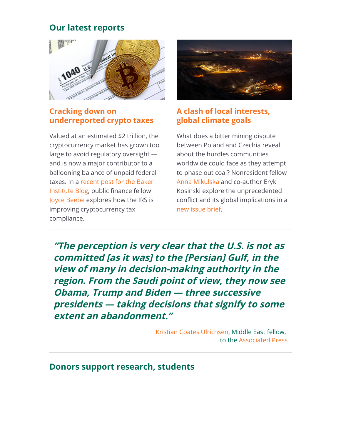## **Our latest reports**



#### **Cracking down on [underreported crypto taxes](https://riceconnect.rice.edu/page.redir?target=https%3a%2f%2fblog.bakerinstitute.org%2f2021%2f09%2f02%2f13088%2f&srcid=247436&srctid=1&erid=55422d30-dd2d-4eee-88d0-66f956b7265a&trid=55422d30-dd2d-4eee-88d0-66f956b7265a)**

Valued at an estimated \$2 trillion, the cryptocurrency market has grown too large to avoid regulatory oversight and is now a major contributor to a ballooning balance of unpaid federal [taxes. In a recent post for the Baker](https://riceconnect.rice.edu/page.redir?target=https%3a%2f%2fblog.bakerinstitute.org%2f2021%2f09%2f02%2f13088%2f&srcid=247436&srctid=1&erid=55422d30-dd2d-4eee-88d0-66f956b7265a&trid=55422d30-dd2d-4eee-88d0-66f956b7265a) Institute Blog, public finance fellow [Joyce Beebe](https://riceconnect.rice.edu/page.redir?target=https%3a%2f%2fwww.bakerinstitute.org%2fexperts%2fjoyce-beebe%2f&srcid=247436&srctid=1&erid=55422d30-dd2d-4eee-88d0-66f956b7265a&trid=55422d30-dd2d-4eee-88d0-66f956b7265a) explores how the IRS is improving cryptocurrency tax compliance.



### **[A clash of local interests,](https://riceconnect.rice.edu/page.redir?target=https%3a%2f%2fwww.bakerinstitute.org%2ffiles%2f17722%2f&srcid=247436&srctid=1&erid=55422d30-dd2d-4eee-88d0-66f956b7265a&trid=55422d30-dd2d-4eee-88d0-66f956b7265a) global climate goals**

What does a bitter mining dispute between Poland and Czechia reveal about the hurdles communities worldwide could face as they attempt to phase out coal? Nonresident fellow [Anna Mikulska](https://riceconnect.rice.edu/page.redir?target=https%3a%2f%2fwww.bakerinstitute.org%2fexperts%2fanna-mikulska%2f&srcid=247436&srctid=1&erid=55422d30-dd2d-4eee-88d0-66f956b7265a&trid=55422d30-dd2d-4eee-88d0-66f956b7265a) and co-author Eryk Kosinski explore the unprecedented conflict and its global implications in a [new issue brief.](https://riceconnect.rice.edu/page.redir?target=https%3a%2f%2fwww.bakerinstitute.org%2ffiles%2f17722%2f&srcid=247436&srctid=1&erid=55422d30-dd2d-4eee-88d0-66f956b7265a&trid=55422d30-dd2d-4eee-88d0-66f956b7265a)

**"The perception is very clear that the U.S. is not as committed [as it was] to the [Persian] Gulf, in the view of many in decision-making authority in the region. From the Saudi point of view, they now see Obama, Trump and Biden — three successive presidents — taking decisions that signify to some extent an abandonment."**

> [Kristian Coates Ulrichsen](https://riceconnect.rice.edu/page.redir?target=https%3a%2f%2fwww.bakerinstitute.org%2fexperts%2fkristian-coates-ulrichsen%2f&srcid=247436&srctid=1&erid=55422d30-dd2d-4eee-88d0-66f956b7265a&trid=55422d30-dd2d-4eee-88d0-66f956b7265a), Middle East fellow, to the [Associated Press](https://riceconnect.rice.edu/page.redir?target=https%3a%2f%2fapnews.com%2farticle%2firan-asia-afghanistan-dubai-middle-east-b6aaf30d689d0a8e45901e51f0457381&srcid=247436&srctid=1&erid=55422d30-dd2d-4eee-88d0-66f956b7265a&trid=55422d30-dd2d-4eee-88d0-66f956b7265a)

**Donors support research, students**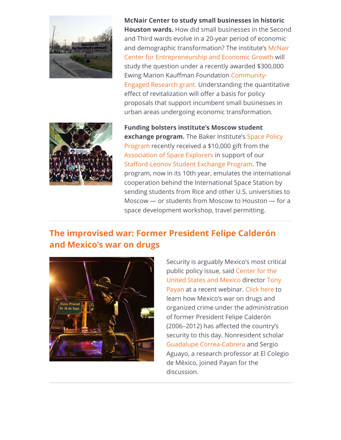

**McNair Center to study small businesses in historic Houston wards.** How did small businesses in the Second and Third wards evolve in a 20-year period of economic [and demographic transformation? The institute's McNair](https://riceconnect.rice.edu/page.redir?target=https%3a%2f%2fwww.bakerinstitute.org%2fmcnair-center%2f&srcid=247436&srctid=1&erid=55422d30-dd2d-4eee-88d0-66f956b7265a&trid=55422d30-dd2d-4eee-88d0-66f956b7265a) Center for Entrepreneurship and Economic Growth will study the question under a recently awarded \$300,000 Ewing Marion Kauffman Foundation Community-[Engaged Research grant. Understanding the quan](https://riceconnect.rice.edu/page.redir?target=https%3a%2f%2fnews.rice.edu%2f2021%2f08%2f30%2fhistoric-houston-neighborhoods-focus-of-study-on-small-business%2f&srcid=247436&srctid=1&erid=55422d30-dd2d-4eee-88d0-66f956b7265a&trid=55422d30-dd2d-4eee-88d0-66f956b7265a)titative effect of revitalization will offer a basis for policy proposals that support incumbent small businesses in urban areas undergoing economic transformation.



**Funding bolsters institute's Moscow student exchange program.** The Baker Institute's Space Policy [Program recently received a \\$10,000 gift from the](https://riceconnect.rice.edu/page.redir?target=https%3a%2f%2fwww.bakerinstitute.org%2fspace-policy-program%2f&srcid=247436&srctid=1&erid=55422d30-dd2d-4eee-88d0-66f956b7265a&trid=55422d30-dd2d-4eee-88d0-66f956b7265a) [Association of Space Explorers](https://riceconnect.rice.edu/page.redir?target=https%3a%2f%2fwww.space-explorers.org%2f&srcid=247436&srctid=1&erid=55422d30-dd2d-4eee-88d0-66f956b7265a&trid=55422d30-dd2d-4eee-88d0-66f956b7265a) in support of our [Stafford-Leonov Student Exchange Program.](https://riceconnect.rice.edu/page.redir?target=https%3a%2f%2fwww.bakerinstitute.org%2fslsep%2f&srcid=247436&srctid=1&erid=55422d30-dd2d-4eee-88d0-66f956b7265a&trid=55422d30-dd2d-4eee-88d0-66f956b7265a) The program, now in its 10th year, emulates the international cooperation behind the International Space Station by sending students from Rice and other U.S. universities to Moscow — or students from Moscow to Houston — for a space development workshop, travel permitting.

# **[The improvised war: Former President Felipe Calderón](https://riceconnect.rice.edu/page.redir?target=https%3a%2f%2fwww.bakerinstitute.org%2fevents%2f2245%2f&srcid=247436&srctid=1&erid=55422d30-dd2d-4eee-88d0-66f956b7265a&trid=55422d30-dd2d-4eee-88d0-66f956b7265a) and Mexico's war on drugs**



Security is arguably Mexico's most critical [public policy issue, said Center for the](https://riceconnect.rice.edu/page.redir?target=https%3a%2f%2fwww.bakerinstitute.org%2fcenter-for-the-united-states-and-mexico%2f&srcid=247436&srctid=1&erid=55422d30-dd2d-4eee-88d0-66f956b7265a&trid=55422d30-dd2d-4eee-88d0-66f956b7265a) [United States and Mexico director Tony](https://riceconnect.rice.edu/page.redir?target=https%3a%2f%2fwww.bakerinstitute.org%2fexperts%2ftony-payan%2f&srcid=247436&srctid=1&erid=55422d30-dd2d-4eee-88d0-66f956b7265a&trid=55422d30-dd2d-4eee-88d0-66f956b7265a) Payan at a recent webinar. [Click here](https://riceconnect.rice.edu/page.redir?target=https%3a%2f%2fwww.bakerinstitute.org%2fevents%2f2245%2f&srcid=247436&srctid=1&erid=55422d30-dd2d-4eee-88d0-66f956b7265a&trid=55422d30-dd2d-4eee-88d0-66f956b7265a) to learn how Mexico's war on drugs and organized crime under the administration of former President Felipe Calderón (2006–2012) has affected the country's security to this day. Nonresident scholar [Guadalupe Correa-Cabrera a](https://riceconnect.rice.edu/page.redir?target=https%3a%2f%2fwww.bakerinstitute.org%2fexperts%2fguadalupe-correacabrera%2f&srcid=247436&srctid=1&erid=55422d30-dd2d-4eee-88d0-66f956b7265a&trid=55422d30-dd2d-4eee-88d0-66f956b7265a)nd Sergio Aguayo, a research professor at El Colegio de México, joined Payan for the discussion.